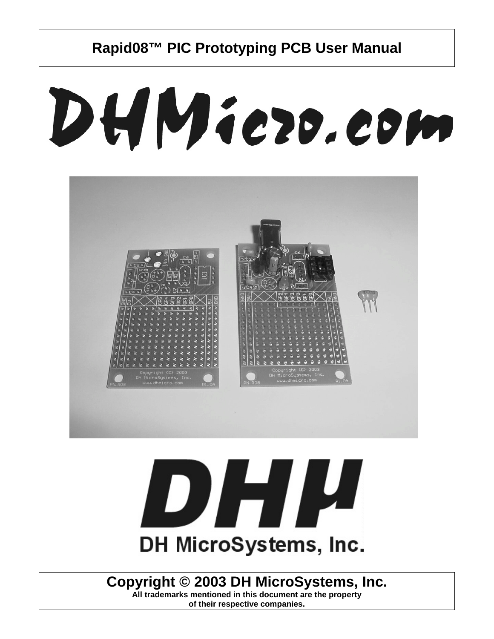# DHMiezo.com



# DHI H DH MicroSystems, Inc.

#### **Copyright © 2003 DH MicroSystems, Inc.**

**All trademarks mentioned in this document are the property of their respective companies.**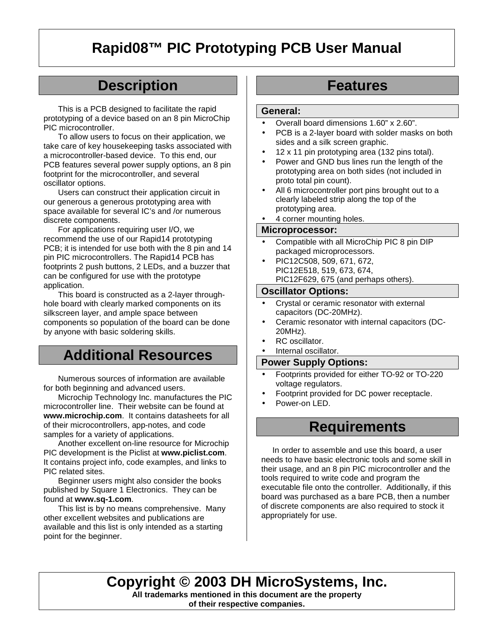# **Description**

This is a PCB designed to facilitate the rapid prototyping of a device based on an 8 pin MicroChip PIC microcontroller.

To allow users to focus on their application, we take care of key housekeeping tasks associated with a microcontroller-based device. To this end, our PCB features several power supply options, an 8 pin footprint for the microcontroller, and several oscillator options.

Users can construct their application circuit in our generous a generous prototyping area with space available for several IC's and /or numerous discrete components.

For applications requiring user I/O, we recommend the use of our Rapid14 prototyping PCB; it is intended for use both with the 8 pin and 14 pin PIC microcontrollers. The Rapid14 PCB has footprints 2 push buttons, 2 LEDs, and a buzzer that can be configured for use with the prototype application.

This board is constructed as a 2-layer throughhole board with clearly marked components on its silkscreen layer, and ample space between components so population of the board can be done by anyone with basic soldering skills.

### **Additional Resources**

Numerous sources of information are available for both beginning and advanced users.

Microchip Technology Inc. manufactures the PIC microcontroller line. Their website can be found at **www.microchip.com**. It contains datasheets for all of their microcontrollers, app-notes, and code samples for a variety of applications.

Another excellent on-line resource for Microchip PIC development is the Piclist at **www.piclist.com**. It contains project info, code examples, and links to PIC related sites.

Beginner users might also consider the books published by Square 1 Electronics. They can be found at **www.sq-1.com**.

This list is by no means comprehensive. Many other excellent websites and publications are available and this list is only intended as a starting point for the beginner.

### **Features**

#### **General:**

- Overall board dimensions 1.60" x 2.60".
- PCB is a 2-layer board with solder masks on both sides and a silk screen graphic.
- 12 x 11 pin prototyping area (132 pins total).
- Power and GND bus lines run the length of the prototyping area on both sides (not included in proto total pin count).
- All 6 microcontroller port pins brought out to a clearly labeled strip along the top of the prototyping area.
- 4 corner mounting holes.

#### **Microprocessor:**

- Compatible with all MicroChip PIC 8 pin DIP packaged microprocessors.
- PIC12C508, 509, 671, 672, PIC12E518, 519, 673, 674, PIC12F629, 675 (and perhaps others).

#### **Oscillator Options:**

- Crystal or ceramic resonator with external capacitors (DC-20MHz).
- Ceramic resonator with internal capacitors (DC-20MHz).
- RC oscillator.
- Internal oscillator.

#### **Power Supply Options:**

- Footprints provided for either TO-92 or TO-220 voltage regulators.
- Footprint provided for DC power receptacle.
- Power-on LED

#### **Requirements**

 In order to assemble and use this board, a user needs to have basic electronic tools and some skill in their usage, and an 8 pin PIC microcontroller and the tools required to write code and program the executable file onto the controller. Additionally, if this board was purchased as a bare PCB, then a number of discrete components are also required to stock it appropriately for use.

**Copyright © 2003 DH MicroSystems, Inc.**

**All trademarks mentioned in this document are the property of their respective companies.**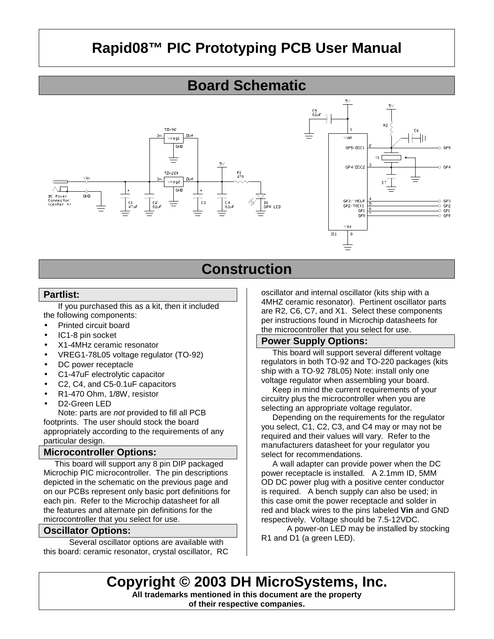#### **Board Schematic**



# **Construction**

#### **Partlist:**

If you purchased this as a kit, then it included the following components:

- Printed circuit board
- IC1-8 pin socket
- X1-4MHz ceramic resonator
- VREG1-78L05 voltage regulator (TO-92)
- DC power receptacle
- C1-47uF electrolytic capacitor
- C2, C4, and C5-0.1uF capacitors
- R1-470 Ohm, 1/8W, resistor
- D<sub>2</sub>-Green LED

Note: parts are *not* provided to fill all PCB footprints. The user should stock the board appropriately according to the requirements of any particular design.

#### **Microcontroller Options:**

This board will support any 8 pin DIP packaged Microchip PIC microcontroller. The pin descriptions depicted in the schematic on the previous page and on our PCBs represent only basic port definitions for each pin. Refer to the Microchip datasheet for all the features and alternate pin definitions for the microcontroller that you select for use.

#### **Oscillator Options:**

 Several oscillator options are available with this board: ceramic resonator, crystal oscillator, RC oscillator and internal oscillator (kits ship with a 4MHZ ceramic resonator). Pertinent oscillator parts are R2, C6, C7, and X1. Select these components per instructions found in Microchip datasheets for the microcontroller that you select for use.

#### **Power Supply Options:**

 This board will support several different voltage regulators in both TO-92 and TO-220 packages (kits ship with a TO-92 78L05) Note: install only one voltage regulator when assembling your board.

 Keep in mind the current requirements of your circuitry plus the microcontroller when you are selecting an appropriate voltage regulator.

 Depending on the requirements for the regulator you select, C1, C2, C3, and C4 may or may not be required and their values will vary. Refer to the manufacturers datasheet for your regulator you select for recommendations.

 A wall adapter can provide power when the DC power receptacle is installed. A 2.1mm ID, 5MM OD DC power plug with a positive center conductor is required. A bench supply can also be used; in this case omit the power receptacle and solder in red and black wires to the pins labeled **Vin** and GND respectively. Voltage should be 7.5-12VDC.

 A power-on LED may be installed by stocking R1 and D1 (a green LED).

**Copyright © 2003 DH MicroSystems, Inc. All trademarks mentioned in this document are the property**

**of their respective companies.**